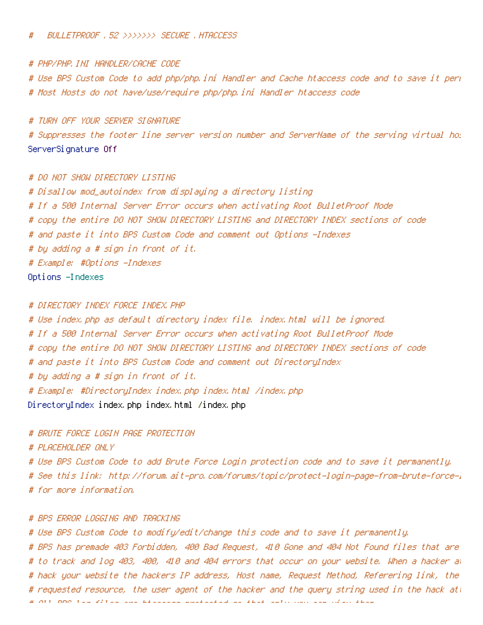#### # BULLETPROOF .52 >>>>>>> SECURE .HTACCESS

### # PHP/PHP.INI HANDLER/CACHE CODE

# Use BPS Custom Code to add php/php.ini Handler and Cache htaccess code and to save it perm # Most Hosts do not have/use/require php/php.ini Handler htaccess code

# TURN OFF YOUR SERVER SIGNATURE

# Suppresses the footer line server version number and ServerName of the serving virtual host ServerSignature Off

### # DO NOT SHOW DIRECTORY LISTING

# Disallow mod\_autoindex from displaying <sup>a</sup> directory listing # If <sup>a</sup> 500 Internal Server Error occurs when activating Root BulletProof Mode # copy the entire DO NOT SHOW DIRECTORY LISTING and DIRECTORY INDEX sections of code # and paste it into BPS Custom Code and comment out Options -Indexes # by adding <sup>a</sup> # sign in front of it. # Example: #Options -Indexes Options -Indexes

## # DIRECTORY INDEX FORCE INDEX.PHP

# Use index.php as default directory index file. index.html will be ignored. # If <sup>a</sup> 500 Internal Server Error occurs when activating Root BulletProof Mode # copy the entire DO NOT SHOW DIRECTORY LISTING and DIRECTORY INDEX sections of code # and paste it into BPS Custom Code and comment out DirectoryIndex # by adding <sup>a</sup> # sign in front of it. # Example: #DirectoryIndex index.php index.html /index.php DirectoryIndex index.php index.html /index.php

# BRUTE FORCE LOGIN PAGE PROTECTION

# PLACEHOLDER ONLY

# Use BPS Custom Code to add Brute Force Login protection code and to save it permanently. # See this link: http://forum.ait-pro.com/forums/topic/protect-login-page-from-brute-force-l # for more information.

# # BPS ERROR LOGGING AND TRACKING

# Use BPS Custom Code to modify/edit/change this code and to save it permanently. # BPS has premade 403 Forbidden, 400 Bad Request, 410 Gone and 404 Not Found files that are # to track and log 403, 400, 410 and 404 errors that occur on your website. When <sup>a</sup> hacker attempts to # hack your website the hackers IP address, Host name, Request Method, Referering link, the # requested resource, the user agent of the hacker and the query string used in the hack att # All BPS log files are htaccess protected so that only you can view them.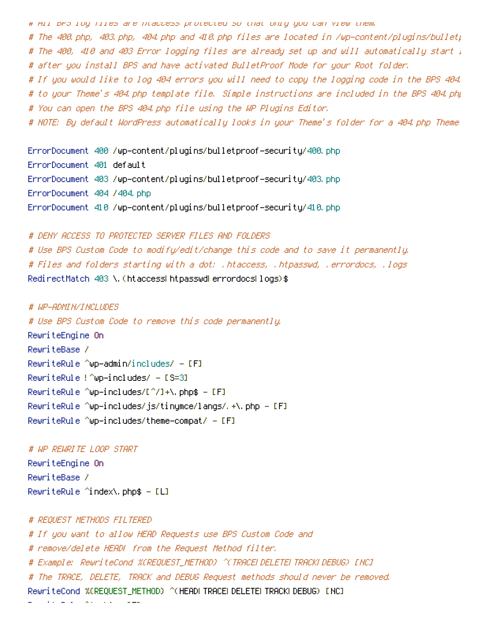# All BPS log files are htaccess protected so that only you can view them.

# The 400.php, 403.php, 404.php and 410.php files are located in /wp-content/plugins/bulletp # The 400, 410 and 403 Error logging files are already set up and will automatically start l # after you install BPS and have activated BulletProof Mode for your Root folder.

# If you would like to log 404 errors you will need to copy the logging code in the BPS 404. # to your Theme's 404.php template file. Simple instructions are included in the BPS 404.php # You can open the BPS 404.php file using the WP Plugins Editor.

# NOTE: By default WordPress automatically looks in your Theme's folder for a 404.php Theme

ErrorDocument 400 /wp-content/plugins/bulletproof-security/400.php ErrorDocument 401 default ErrorDocument 403 /wp-content/plugins/bulletproof-security/403.php ErrorDocument 404 /404.php ErrorDocument 410 /wp-content/plugins/bulletproof-security/410.php

# DENY ACCESS TO PROTECTED SERVER FILES AND FOLDERS # Use BPS Custom Code to modify/edit/change this code and to save it permanently. # Files and folders starting with <sup>a</sup> dot: .htaccess, .htpasswd, .errordocs, .logs RedirectMatch 403 \.(htaccessIhtpasswdIerrordocsIlogs)\$

# WP-ADMIN/INCLUDES # Use BPS Custom Code to remove this code permanently. RewriteEngine On RewriteBase / RewriteRule ^wp-admin/includes/ -  $[F]$ RewriteRule ! ^wp-includes/ - [S=3] RewriteRule ^wp-includes/[^/]+\.php\$ - [F] RewriteRule ^wp-includes/js/tinymce/langs/.+\.php - [F] RewriteRule ^wp-includes/theme-compat/ - [F]

# WP REWRITE LOOP START RewriteEngine On RewriteBase / RewriteRule ^index\.php\$ - [L]

# REQUEST METHODS FILTERED # If you want to allow HEAD Requests use BPS Custom Code and # remove/delete HEAD| from the Request Method filter. # Example: RewriteCond %{REQUEST\_METHOD} ^(TRACE|DELETE|TRACK|DEBUG) [NC] # The TRACE, DELETE, TRACK and DEBUG Request methods should never be removed. RewriteCond %{REQUEST\_METHOD} ^(HEAD|TRACE|DELETE|TRACK|DEBUG) [NC] RewriteRule Avenue in Fig.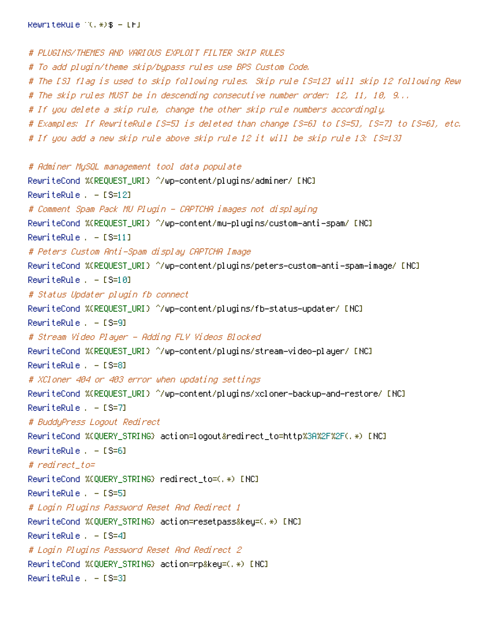# PLUGINS/THEMES AND VARIOUS EXPLOIT FILTER SKIP RULES # To add plugin/theme skip/bypass rules use BPS Custom Code. # The [S] flag is used to skip following rules. Skip rule [S=12] will skip 12 following Rewr # The skip rules MUST be in descending consecutive number order: 12, 11, 10, 9... # If you delete <sup>a</sup> skip rule, change the other skip rule numbers accordingly. # Examples: If RewriteRule [S=5] is deleted than change [S=6] to [S=5], [S=7] to [S=6], etc. # If you add <sup>a</sup> new skip rule above skip rule 12 it will be skip rule 13: [S=13] # Adminer MySQL management tool data populate RewriteCond %{REQUEST\_URI} ^/wp-content/plugins/adminer/ [NC] RewriteRule . - [S=12] # Comment Spam Pack MU Plugin - CAPTCHA images not displaying RewriteCond %{REQUEST\_URI} ^/wp-content/mu-plugins/custom-anti-spam/ [NC] RewriteRule . - [S=11] # Peters Custom Anti-Spam display CAPTCHA Image RewriteCond %{REQUEST\_URI} ^/wp-content/plugins/peters-custom-anti-spam-image/ [NC] RewriteRule . - [S=10] # Status Updater plugin fb connect RewriteCond %{REQUEST\_URI} ^/wp-content/plugins/fb-status-updater/ [NC] RewriteRule . - [S=9] # Stream Video Player - Adding FLV Videos Blocked RewriteCond %{REQUEST\_URI} ^/wp-content/plugins/stream-video-player/ [NC] RewriteRule . - [S=8] # XCloner 404 or 403 error when updating settings RewriteCond %{REQUEST\_URI} ^/wp-content/plugins/xcloner-backup-and-restore/ [NC] RewriteRule . - [S=7] # BuddyPress Logout Redirect RewriteCond %{QUERY\_STRING} action=logout&redirect\_to=http%3A%2F%2F(.\*) [NC]  $RewriteRule = - [S=6]$ # redirect\_to= RewriteCond %{QUERY\_STRING} redirect\_to=(.\*) [NC] RewriteRule . - [S=5] # Login Plugins Password Reset And Redirect 1 RewriteCond %{QUERY\_STRING} action=resetpass&key=(.\*) [NC]  $RewriteRule = - [S=4]$ # Login Plugins Password Reset And Redirect 2 RewriteCond %{QUERY\_STRING} action=rp&key=(.\*) [NC] RewriteRule . - [S=3]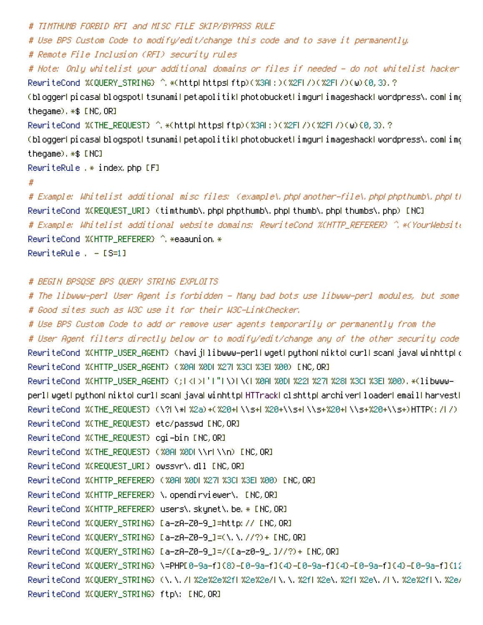```
# TIMTHUMB FORBID RFI and MISC FILE SKIP/BYPASS RULE
# Use BPS Custom Code to modify/edit/change this code and to save it permanently.
# Remote File Inclusion (RFI) security rules
# Note: Only whitelist your additional domains or files if needed - do not whitelist hacker domains or files
RewriteCond %{QUERY_STRING} ^.*(http|https|ftp)(%3A|:)(%2F|/)(%2F|/)(w){0,3}.?
(blogger|picasa|blogspot|tsunami|petapolitik|photobucket|imgur|imageshack|wordpress\.com|im(
thegame).*$ [NC,OR]
RewriteCond %(THE_REQUEST) ^.*(http|https|ftp)(%3A|:)(%2F|/)(%2F|/)(w){0,3}.?
(blogger|picasa|blogspot|tsunami|petapolitik|photobucket|imgur|imageshack|wordpress\.com|im(
thegame).*$ [NC]
RewriteRule .* index.php [F]
#
# Example: Whitelist additional misc files: (example\.php|another-file\.php|phpthumb\.php|thumb\.php|thumbs\.php)
RewriteCond %{REQUEST_URI} (timthumb\.php|phpthumb\.php|thumb\.php|thumbs\.php) [NC]
# Example: Whitelist additional website domains: RewriteCond %{HTTP_REFERER} ^.*(YourWebsite
RewriteCond %(HTTP_REFERER) ^ *eaaunion.*
RewriteRule . - [S=1]
```

```
# BEGIN BPSQSE BPS QUERY STRING EXPLOITS
```

```
# The libwww-perl User Agent is forbidden - Many bad bots use libwww-perl modules, but some good bots use it too.
# Good sites such as W3C use it for their W3C-LinkChecker.
# Use BPS Custom Code to add or remove user agents temporarily or permanently from the
# User Agent filters directly below or to modify/edit/change any of the other security code rules below.
RewriteCond %{HTTP_USER_AGENT} (havij|libwww-perl|wget|python|nikto|curl|scan|java|winhttp|clshttp
RewriteCond %{HTTP_USER_AGENT} (%0A|%0D|%27|%3C|%3E|%00) [NC,OR]
RewriteCond %{HTTP_USER_AGENT} (;|<|>|'|"|\)|\(|%0A|%0D|%22|%27|%28|%3C|%3E|%00).*(libwww-
perl|wget|python|nikto|curl|scan|java|winhttp|HTTrack|clshttp|archiver|loader|email|harvest|
RewriteCond %{THE_REQUEST} (\?|\*|%2a)+(%20+|\\s+|%20+\\s+|\\s+%20+|\\s+%20+\\s+)HTTP(:/|/)
RewriteCond %{THE_REQUEST} etc/passwd [NC,OR]
RewriteCond %{THE_REQUEST} cgi-bin [NC,OR]
RewriteCond %{THE_REQUEST} (%0A| %0D|\\r|\\n) [NC,OR]
RewriteCond %{REQUEST_URI} owssvr\.dll [NC,OR]
RewriteCond %{HTTP_REFERER} (%0Al%0D|%27|%3C|%3E|%00) [NC, OR]
RewriteCond %(HTTP_REFERER) \.opendirviewer\. [NC,OR]
RewriteCond %(HTTP_REFERER) users\.skynet\.be.* [NC,OR]
RewriteCond %{QUERY_STRING} [a-zA-Z0-9_]=http:// [NC,OR]
RewriteCond %{QUERY_STRING} [a-zA-Z0-9_]=(\.\.//?)+ [NC,OR]
RewriteCond %{QUERY_STRING} [a-zA-Z0-9_]=/([a-z0-9_.]//?)+ [NC,OR]
RewriteCond %{QUERY_STRING} \=PHP[0-9a-f]{8}-[0-9a-f]{4}-[0-9a-f]{4}-[0-9a-f]{4}-[0-9a-f]{12
RewriteCond %{QUERY_STRING} (\.\./|%2e%2e%2f|%2e%2e/|\.\.%2f|%2e\.%2f|%2e\./|\.%2e%2f|\.%2e/)
RewriteCond %{QUERY_STRING} ftp\: [NC,OR]
```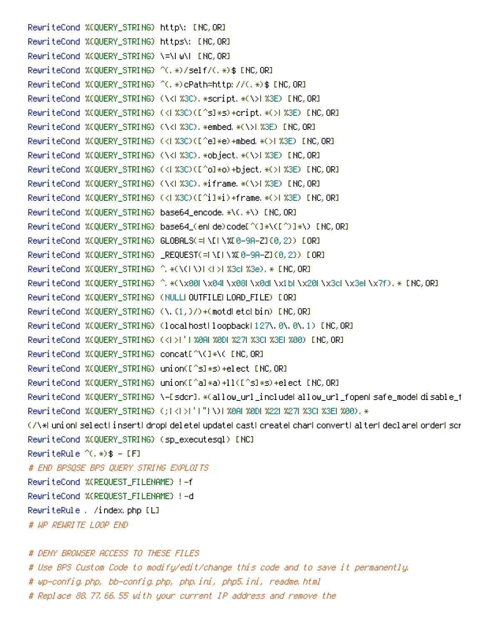RewriteCond %{QUERY\_STRING} http\: [NC,OR] RewriteCond %{QUERY\_STRING} https\: [NC,OR] RewriteCond %{QUERY\_STRING} \=\|w\| [NC,OR] RewriteCond %{QUERY\_STRING} ^(, \*)/self/(, \*)\$ [NC,OR] RewriteCond %{QUERY\_STRING} ^(.\*)cPath=http://(.\*)\$ [NC,OR] RewriteCond %(QUERY\_STRING) (\<| %3C). \*script. \*(\>| %3E) [NC,OR] RewriteCond %{QUERY\_STRING} (<|%3C)([^s]\*s)+cript.\*(>|%3E) [NC,OR] RewriteCond %{QUERY\_STRING} (\<|%3C).\*embed.\*(\>|%3E) [NC,OR] RewriteCond %{QUERY\_STRING} (<|%3C)([^e]\*e)+mbed.\*(>|%3E) [NC,OR] RewriteCond %(QUERY\_STRING) (\<| %3C). \*object. \*(\>| %3E) [NC, OR] RewriteCond %{QUERY\_STRING} (<| %3C)([^o]\*o)+bject.\*(>| %3E) [NC,OR] RewriteCond %(QUERY\_STRING) (\<| %3C).\*iframe.\*(\>| %3E) [NC,OR] RewriteCond %(QUERY\_STRING) (<|%3C)([^i]\*i)+frame.\*(>|%3E) [NC,OR] RewriteCond %{QUERY\_STRING} base64\_encode.\*\(.\*\) [NC,OR] RewriteCond %{QUERY\_STRING} base64\_(en|de)code[^(]\*\([^)]\*\) [NC,OR] RewriteCond %{QUERY\_STRING} GLOBALS(=|\[|\%[0-9A-Z]{0,2}) [OR] RewriteCond %{QUERY\_STRING} \_REQUEST(=|\[|\%[0-9A-Z]{0,2}) [OR] RewriteCond %{QUERY\_STRING} ^.\*(\(|\)|<|>|%3c|%3e).\* [NC,OR] RewriteCond %{QUERY\_STRING} ^.\*(\x00|\x04|\x08|\x0d|\x1b|\x20|\x3c|\x3c|\x7f).\* [NC,OR] RewriteCond %{QUERY\_STRING} (NULL|OUTFILE|LOAD\_FILE) [OR] RewriteCond %{QUERY\_STRING} (\.{1,}/)+(motd|etc|bin) [NC,OR] RewriteCond %(QUERY\_STRING) (localhost|loopback|127\.0\.0\.1) [NC,OR] RewriteCond %{QUERY\_STRING} (<| >|'| %0A| %0D| %27| %3C| %3E| %00) [NC,OR] RewriteCond %{QUERY\_STRING} concat[^\(]\*\( [NC,OR] RewriteCond %{QUERY\_STRING} union([^s]\*s)+elect [NC,OR] RewriteCond %{QUERY\_STRING} union([^a]\*a)+ll([^s]\*s)+elect [NC,OR] RewriteCond %{QUERY\_STRING} \-[sdcr].\*(allow\_url\_include|allow\_url\_fopen|safe\_mode|disable\_f RewriteCond %{QUERY\_STRING} (;|<|>|'|"|\)| %0A| %0D| %22| %27| %3C| %3E| %00). \* (/\\*|union|select|insert|drop|delete|update|cast|create|char|convert|alter|declare|order|script RewriteCond %{QUERY\_STRING} (sp\_executesql) [NC] RewriteRule  $^{\wedge}$ (,  $\ast$ )  $\ast$  - [F] # END BPSQSE BPS QUERY STRING EXPLOITS RewriteCond %{REQUEST\_FILENAME} !-f RewriteCond %{REQUEST\_FILENAME} !-d RewriteRule . /index.php [L] # WP REWRITE LOOP END

# DENY BROWSER ACCESS TO THESE FILES # Use BPS Custom Code to modify/edit/change this code and to save it permanently. # wp-config.php, bb-config.php, php.ini, php5.ini, readme.html # Replace 88.77.66.55 with your current IP address and remove the